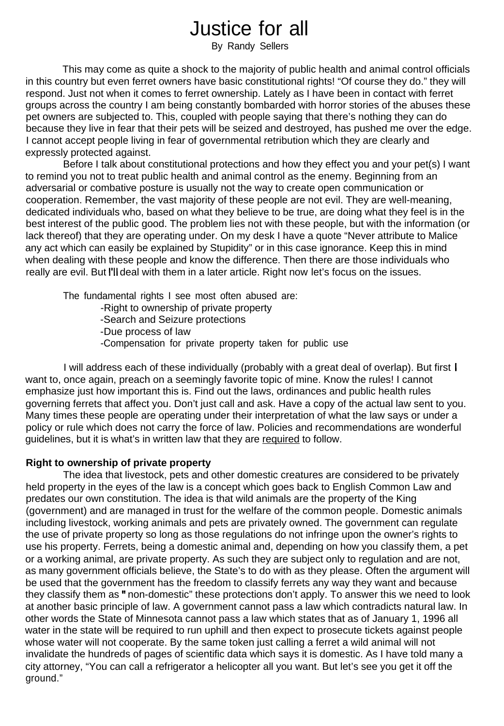# Justice for all

By Randy Sellers

This may come as quite a shock to the majority of public health and animal control officials in this country but even ferret owners have basic constitutional rights! "Of course they do." they will respond. Just not when it comes to ferret ownership. Lately as I have been in contact with ferret groups across the country I am being constantly bombarded with horror stories of the abuses these pet owners are subjected to. This, coupled with people saying that there's nothing they can do because they live in fear that their pets will be seized and destroyed, has pushed me over the edge. I cannot accept people living in fear of governmental retribution which they are clearly and expressly protected against.

Before I talk about constitutional protections and how they effect you and your pet(s) I want to remind you not to treat public health and animal control as the enemy. Beginning from an adversarial or combative posture is usually not the way to create open communication or cooperation. Remember, the vast majority of these people are not evil. They are well-meaning, dedicated individuals who, based on what they believe to be true, are doing what they feel is in the best interest of the public good. The problem lies not with these people, but with the information (or lack thereof) that they are operating under. On my desk I have a quote "Never attribute to Malice any act which can easily be explained by Stupidity" or in this case ignorance. Keep this in mind when dealing with these people and know the difference. Then there are those individuals who really are evil. But I'll deal with them in a later article. Right now let's focus on the issues.

The fundamental rights I see most often abused are: -Right to ownership of private property -Search and Seizure protections -Due process of law -Compensation for private property taken for public use

I will address each of these individually (probably with a great deal of overlap). But first I want to, once again, preach on a seemingly favorite topic of mine. Know the rules! I cannot emphasize just how important this is. Find out the laws, ordinances and public health rules governing ferrets that affect you. Don't just call and ask. Have a copy of the actual law sent to you. Many times these people are operating under their interpretation of what the law says or under a policy or rule which does not carry the force of law. Policies and recommendations are wonderful guidelines, but it is what's in written law that they are required to follow.

#### **Right to ownership of private property**

The idea that livestock, pets and other domestic creatures are considered to be privately held property in the eyes of the law is a concept which goes back to English Common Law and predates our own constitution. The idea is that wild animals are the property of the King (government) and are managed in trust for the welfare of the common people. Domestic animals including livestock, working animals and pets are privately owned. The government can regulate the use of private property so long as those regulations do not infringe upon the owner's rights to use his property. Ferrets, being a domestic animal and, depending on how you classify them, a pet or a working animal, are private property. As such they are subject only to regulation and are not, as many government officials believe, the State's to do with as they please. Often the argument will be used that the government has the freedom to classify ferrets any way they want and because they classify them as " non-domestic" these protections don't apply. To answer this we need to look at another basic principle of law. A government cannot pass a law which contradicts natural law. In other words the State of Minnesota cannot pass a law which states that as of January 1, 1996 all water in the state will be required to run uphill and then expect to prosecute tickets against people whose water will not cooperate. By the same token just calling a ferret a wild animal will not invalidate the hundreds of pages of scientific data which says it is domestic. As I have told many a city attorney, "You can call a refrigerator a helicopter all you want. But let's see you get it off the ground."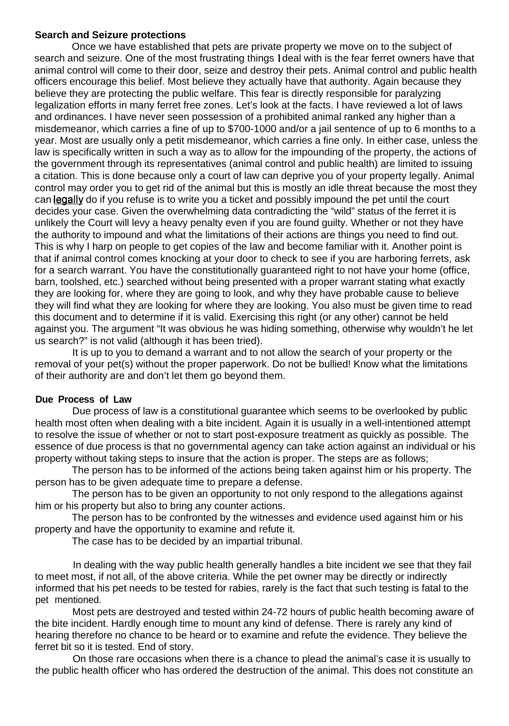### **Search and Seizure protections**

Once we have established that pets are private property we move on to the subject of search and seizure. One of the most frustrating things I deal with is the fear ferret owners have that animal control will come to their door, seize and destroy their pets. Animal control and public health officers encourage this belief. Most believe they actually have that authority. Again because they believe they are protecting the public welfare. This fear is directly responsible for paralyzing legalization efforts in many ferret free zones. Let's look at the facts. I have reviewed a lot of laws and ordinances. I have never seen possession of a prohibited animal ranked any higher than a misdemeanor, which carries a fine of up to \$700-1000 and/or a jail sentence of up to 6 months to a year. Most are usually only a petit misdemeanor, which carries a fine only. In either case, unless the law is specifically written in such a way as to allow for the impounding of the property, the actions of the government through its representatives (animal control and public health) are limited to issuing a citation. This is done because only a court of law can deprive you of your property legally. Animal control may order you to get rid of the animal but this is mostly an idle threat because the most they can legally do if you refuse is to write you a ticket and possibly impound the pet until the court decides your case. Given the overwhelming data contradicting the "wild" status of the ferret it is unlikely the Court will levy a heavy penalty even if you are found guilty. Whether or not they have the authority to impound and what the limitations of their actions are things you need to find out. This is why I harp on people to get copies of the law and become familiar with it. Another point is that if animal control comes knocking at your door to check to see if you are harboring ferrets, ask for a search warrant. You have the constitutionally guaranteed right to not have your home (office, barn, toolshed, etc.) searched without being presented with a proper warrant stating what exactly they are looking for, where they are going to look, and why they have probable cause to believe they will find what they are looking for where they are looking. You also must be given time to read this document and to determine if it is valid. Exercising this right (or any other) cannot be held against you. The argument "It was obvious he was hiding something, otherwise why wouldn't he let us search?" is not valid (although it has been tried).

It is up to you to demand a warrant and to not allow the search of your property or the removal of your pet(s) without the proper paperwork. Do not be bullied! Know what the limitations of their authority are and don't let them go beyond them.

## **Due Process of Law**

Due process of law is a constitutional guarantee which seems to be overlooked by public health most often when dealing with a bite incident. Again it is usually in a well-intentioned attempt to resolve the issue of whether or not to start post-exposure treatment as quickly as possible. The essence of due process is that no governmental agency can take action against an individual or his property without taking steps to insure that the action is proper. The steps are as follows;

The person has to be informed of the actions being taken against him or his property. The person has to be given adequate time to prepare a defense.

The person has to be given an opportunity to not only respond to the allegations against him or his property but also to bring any counter actions.

The person has to be confronted by the witnesses and evidence used against him or his property and have the opportunity to examine and refute it.

The case has to be decided by an impartial tribunal.

In dealing with the way public health generally handles a bite incident we see that they fail to meet most, if not all, of the above criteria. While the pet owner may be directly or indirectly informed that his pet needs to be tested for rabies, rarely is the fact that such testing is fatal to the pet mentioned.

Most pets are destroyed and tested within 24-72 hours of public health becoming aware of the bite incident. Hardly enough time to mount any kind of defense. There is rarely any kind of hearing therefore no chance to be heard or to examine and refute the evidence. They believe the ferret bit so it is tested. End of story.

On those rare occasions when there is a chance to plead the animal's case it is usually to the public health officer who has ordered the destruction of the animal. This does not constitute an